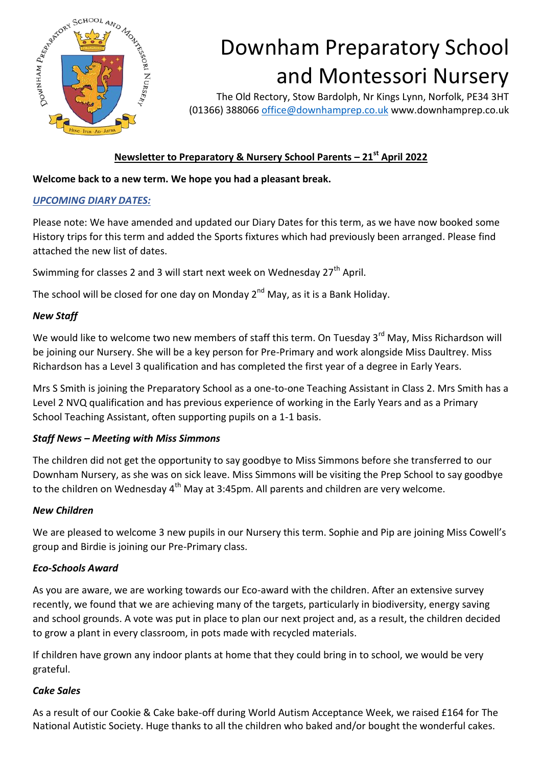

# Downham Preparatory School and Montessori Nursery

The Old Rectory, Stow Bardolph, Nr Kings Lynn, Norfolk, PE34 3HT (01366) 388066 [office@downhamprep.co.uk](mailto:office@downhamprep.co.uk) www.downhamprep.co.uk

# **Newsletter to Preparatory & Nursery School Parents – 21st April 2022**

## **Welcome back to a new term. We hope you had a pleasant break.**

#### *UPCOMING DIARY DATES:*

Please note: We have amended and updated our Diary Dates for this term, as we have now booked some History trips for this term and added the Sports fixtures which had previously been arranged. Please find attached the new list of dates.

Swimming for classes 2 and 3 will start next week on Wednesday 27<sup>th</sup> April.

The school will be closed for one day on Monday  $2^{nd}$  May, as it is a Bank Holiday.

#### *New Staff*

We would like to welcome two new members of staff this term. On Tuesday 3<sup>rd</sup> May, Miss Richardson will be joining our Nursery. She will be a key person for Pre-Primary and work alongside Miss Daultrey. Miss Richardson has a Level 3 qualification and has completed the first year of a degree in Early Years.

Mrs S Smith is joining the Preparatory School as a one-to-one Teaching Assistant in Class 2. Mrs Smith has a Level 2 NVQ qualification and has previous experience of working in the Early Years and as a Primary School Teaching Assistant, often supporting pupils on a 1-1 basis.

#### *Staff News – Meeting with Miss Simmons*

The children did not get the opportunity to say goodbye to Miss Simmons before she transferred to our Downham Nursery, as she was on sick leave. Miss Simmons will be visiting the Prep School to say goodbye to the children on Wednesday  $4<sup>th</sup>$  May at 3:45pm. All parents and children are very welcome.

#### *New Children*

We are pleased to welcome 3 new pupils in our Nursery this term. Sophie and Pip are joining Miss Cowell's group and Birdie is joining our Pre-Primary class.

#### *Eco-Schools Award*

As you are aware, we are working towards our Eco-award with the children. After an extensive survey recently, we found that we are achieving many of the targets, particularly in biodiversity, energy saving and school grounds. A vote was put in place to plan our next project and, as a result, the children decided to grow a plant in every classroom, in pots made with recycled materials.

If children have grown any indoor plants at home that they could bring in to school, we would be very grateful.

#### *Cake Sales*

As a result of our Cookie & Cake bake-off during World Autism Acceptance Week, we raised £164 for The National Autistic Society. Huge thanks to all the children who baked and/or bought the wonderful cakes.